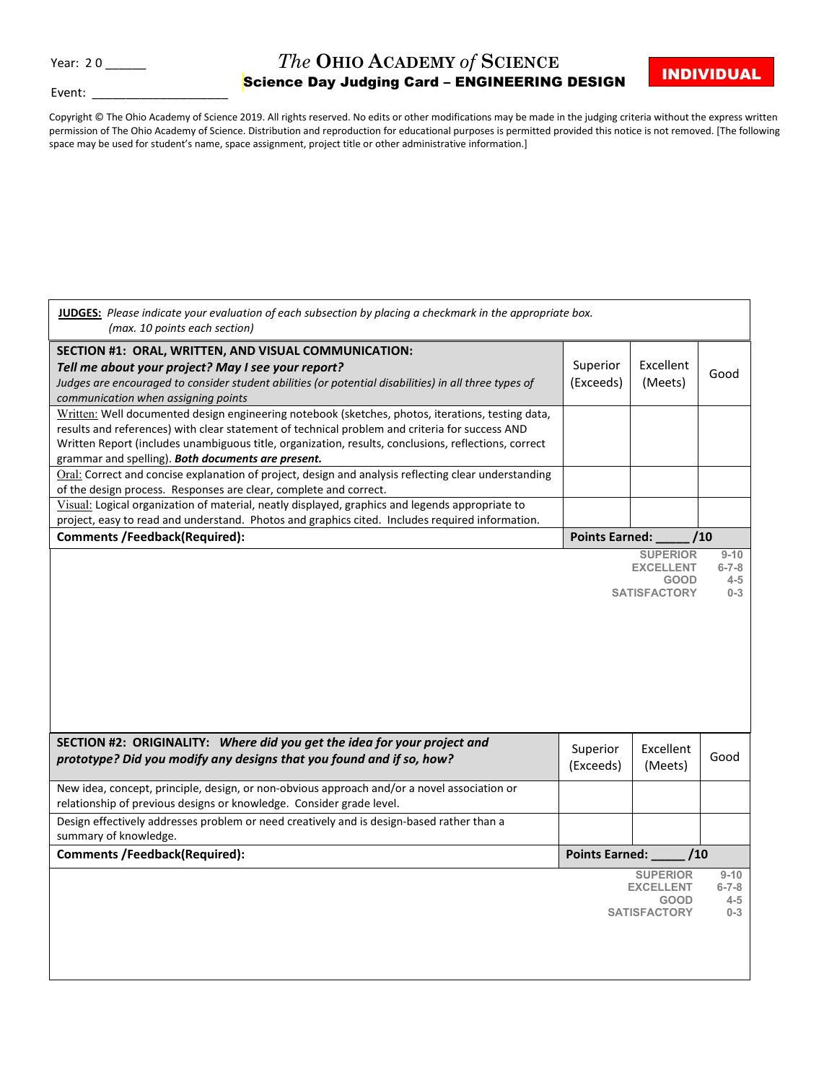## *The* **OHIO ACADEMY** *of* **SCIENCE**

Event:

## Year: 20 \_\_\_\_\_\_ *The* OHIO ACADEMY *of* SCIENCE **INDIVIDUAL**<br>\_\_\_\_\_\_\_\_\_\_\_\_\_\_\_\_\_\_\_\_\_\_\_\_\_\_\_Science Day Judging Card – ENGINEERING DESIGN \_\_\_<mark>INDIVIDUAL</mark>

Copyright © The Ohio Academy of Science 2019. All rights reserved. No edits or other modifications may be made in the judging criteria without the express written permission of The Ohio Academy of Science. Distribution and reproduction for educational purposes is permitted provided this notice is not removed. [The following space may be used for student's name, space assignment, project title or other administrative information.]

| (max. 10 points each section)                                                                                                                                                                                                                                                                                                                                     | JUDGES: Please indicate your evaluation of each subsection by placing a checkmark in the appropriate box. |                                                        |                                   |
|-------------------------------------------------------------------------------------------------------------------------------------------------------------------------------------------------------------------------------------------------------------------------------------------------------------------------------------------------------------------|-----------------------------------------------------------------------------------------------------------|--------------------------------------------------------|-----------------------------------|
| SECTION #1: ORAL, WRITTEN, AND VISUAL COMMUNICATION:<br>Tell me about your project? May I see your report?<br>Judges are encouraged to consider student abilities (or potential disabilities) in all three types of<br>communication when assigning points                                                                                                        | Superior<br>(Exceeds)                                                                                     | Excellent<br>(Meets)                                   | Good                              |
| Written: Well documented design engineering notebook (sketches, photos, iterations, testing data,<br>results and references) with clear statement of technical problem and criteria for success AND<br>Written Report (includes unambiguous title, organization, results, conclusions, reflections, correct<br>grammar and spelling). Both documents are present. |                                                                                                           |                                                        |                                   |
| Oral: Correct and concise explanation of project, design and analysis reflecting clear understanding<br>of the design process. Responses are clear, complete and correct.                                                                                                                                                                                         |                                                                                                           |                                                        |                                   |
| Visual: Logical organization of material, neatly displayed, graphics and legends appropriate to<br>project, easy to read and understand. Photos and graphics cited. Includes required information.                                                                                                                                                                |                                                                                                           |                                                        |                                   |
| <b>Comments /Feedback(Required):</b>                                                                                                                                                                                                                                                                                                                              | Points Earned:                                                                                            |                                                        | /10                               |
|                                                                                                                                                                                                                                                                                                                                                                   |                                                                                                           | <b>EXCELLENT</b><br><b>GOOD</b><br><b>SATISFACTORY</b> | $6 - 7 - 8$<br>$4 - 5$<br>$0 - 3$ |
|                                                                                                                                                                                                                                                                                                                                                                   |                                                                                                           |                                                        |                                   |
| SECTION #2: ORIGINALITY: Where did you get the idea for your project and<br>prototype? Did you modify any designs that you found and if so, how?                                                                                                                                                                                                                  | Superior<br>(Exceeds)                                                                                     | Excellent<br>(Meets)                                   | Good                              |
| New idea, concept, principle, design, or non-obvious approach and/or a novel association or<br>relationship of previous designs or knowledge. Consider grade level.                                                                                                                                                                                               |                                                                                                           |                                                        |                                   |
| Design effectively addresses problem or need creatively and is design-based rather than a<br>summary of knowledge.                                                                                                                                                                                                                                                |                                                                                                           |                                                        |                                   |
| <b>Comments /Feedback(Required):</b>                                                                                                                                                                                                                                                                                                                              | Points Earned: __                                                                                         | /10                                                    |                                   |